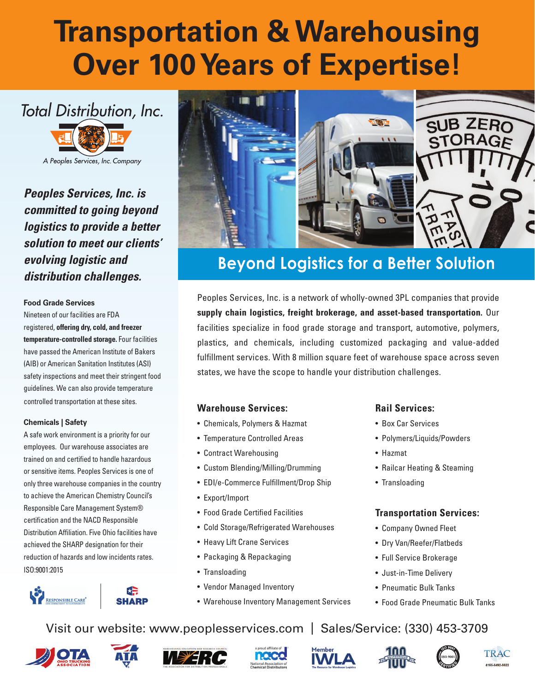# **Transportation & Warehousing Over 100 Years of Expertise!**

## Total Distribution, Inc.



A Peoples Services, Inc. Company

*Peoples Services, Inc. is committed to going beyond logistics to provide a better solution to meet our clients' evolving logistic and distribution challenges.* 

#### **Food Grade Services**

Nineteen of our facilities are FDA registered, **offering dry, cold, and freezer temperature-controlled storage.** Four facilities have passed the American Institute of Bakers (AIB) or American Sanitation Institutes (ASI) safety inspections and meet their stringent food guidelines. We can also provide temperature controlled transportation at these sites.

#### **Chemicals | Safety**

A safe work environment is a priority for our employees. Our warehouse associates are trained on and certified to handle hazardous or sensitive items. Peoples Services is one of only three warehouse companies in the country to achieve the American Chemistry Council's Responsible Care Management System® certification and the NACD Responsible Distribution Affiliation. Five Ohio facilities have achieved the SHARP designation for their reduction of hazards and low incidents rates. ISO:9001:2015

## RESPONSIBLE CARE



### **Beyond Logistics for a Better Solution**

Peoples Services, Inc. is a network of wholly-owned 3PL companies that provide **supply chain logistics, freight brokerage, and asset-based transportation.** Our facilities specialize in food grade storage and transport, automotive, polymers, plastics, and chemicals, including customized packaging and value-added fulfillment services. With 8 million square feet of warehouse space across seven states, we have the scope to handle your distribution challenges.

#### **Warehouse Services:**

- Chemicals, Polymers & Hazmat
- Temperature Controlled Areas
- Contract Warehousing
- Custom Blending/Milling/Drumming
- EDI/e-Commerce Fulfillment/Drop Ship
- Export/Import
- Food Grade Certified Facilities
- Cold Storage/Refrigerated Warehouses
- Heavy Lift Crane Services
- Packaging & Repackaging
- Transloading
- Vendor Managed Inventory
- Warehouse Inventory Management Services

#### Visit our website: www.peoplesservices.com | Sales/Service: (330) 453-3709

















#### **Rail Services:**

- Box Car Services
- Polymers/Liquids/Powders
- Hazmat
- Railcar Heating & Steaming
- Transloading

#### **Transportation Services:**

- Company Owned Fleet
- Dry Van/Reefer/Flatbeds
- Full Service Brokerage
- Just-in-Time Delivery
- Pneumatic Bulk Tanks
- Food Grade Pneumatic Bulk Tanks